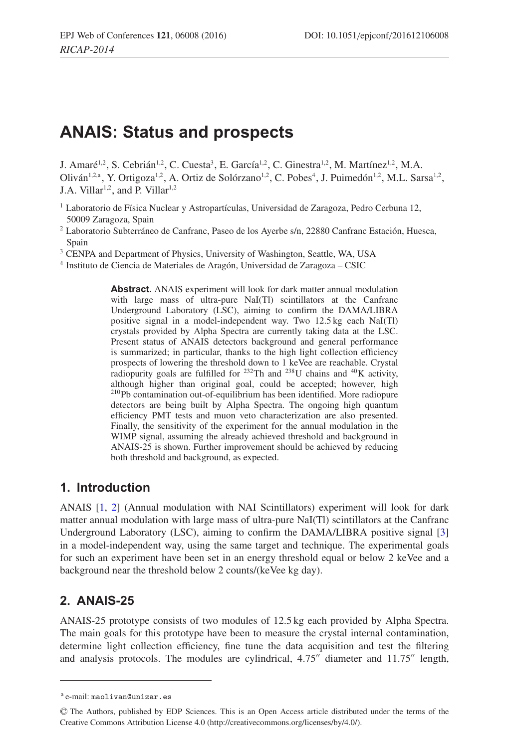# **ANAIS: Status and prospects**

J. Amaré<sup>1,2</sup>, S. Cebrián<sup>1,2</sup>, C. Cuesta<sup>3</sup>, E. García<sup>1,2</sup>, C. Ginestra<sup>1,2</sup>, M. Martínez<sup>1,2</sup>, M.A. Oliván<sup>1,2,a</sup>, Y. Ortigoza<sup>1,2</sup>, A. Ortiz de Solórzano<sup>1,2</sup>, C. Pobes<sup>4</sup>, J. Puimedón<sup>1,2</sup>, M.L. Sarsa<sup>1,2</sup>, J.A. Villar<sup>1,2</sup>, and P. Villar<sup>1,2</sup>

- <sup>1</sup> Laboratorio de Física Nuclear y Astropartículas, Universidad de Zaragoza, Pedro Cerbuna 12, 50009 Zaragoza, Spain
- <sup>2</sup> Laboratorio Subterráneo de Canfranc, Paseo de los Ayerbe s/n, 22880 Canfranc Estación, Huesca, Spain
- <sup>3</sup> CENPA and Department of Physics, University of Washington, Seattle, WA, USA
- <sup>4</sup> Instituto de Ciencia de Materiales de Aragón, Universidad de Zaragoza CSIC

**Abstract.** ANAIS experiment will look for dark matter annual modulation with large mass of ultra-pure NaI(Tl) scintillators at the Canfranc Underground Laboratory (LSC), aiming to confirm the DAMA/LIBRA positive signal in a model-independent way. Two 12.5 kg each NaI(Tl) crystals provided by Alpha Spectra are currently taking data at the LSC. Present status of ANAIS detectors background and general performance is summarized; in particular, thanks to the high light collection efficiency prospects of lowering the threshold down to 1 keVee are reachable. Crystal radiopurity goals are fulfilled for  $^{232}$ Th and  $^{238}$ U chains and  $^{40}$ K activity, although higher than original goal, could be accepted; however, high 210Pb contamination out-of-equilibrium has been identified. More radiopure detectors are being built by Alpha Spectra. The ongoing high quantum efficiency PMT tests and muon veto characterization are also presented. Finally, the sensitivity of the experiment for the annual modulation in the WIMP signal, assuming the already achieved threshold and background in ANAIS-25 is shown. Further improvement should be achieved by reducing both threshold and background, as expected.

# **1. Introduction**

ANAIS [\[1](#page-4-0), [2\]](#page-4-1) (Annual modulation with NAI Scintillators) experiment will look for dark matter annual modulation with large mass of ultra-pure NaI(Tl) scintillators at the Canfranc Underground Laboratory (LSC), aiming to confirm the DAMA/LIBRA positive signal [\[3\]](#page-4-2) in a model-independent way, using the same target and technique. The experimental goals for such an experiment have been set in an energy threshold equal or below 2 keVee and a background near the threshold below 2 counts/(keVee kg day).

# **2. ANAIS-25**

ANAIS-25 prototype consists of two modules of 12.5 kg each provided by Alpha Spectra. The main goals for this prototype have been to measure the crystal internal contamination, determine light collection efficiency, fine tune the data acquisition and test the filtering and analysis protocols. The modules are cylindrical,  $4.75''$  diameter and  $11.75''$  length,

<sup>a</sup> e-mail: maolivan@unizar.es

<sup>-</sup>C The Authors, published by EDP Sciences. This is an Open Access article distributed under the terms of the Creative Commons Attribution License 4.0 (http://creativecommons.org/licenses/by/4.0/).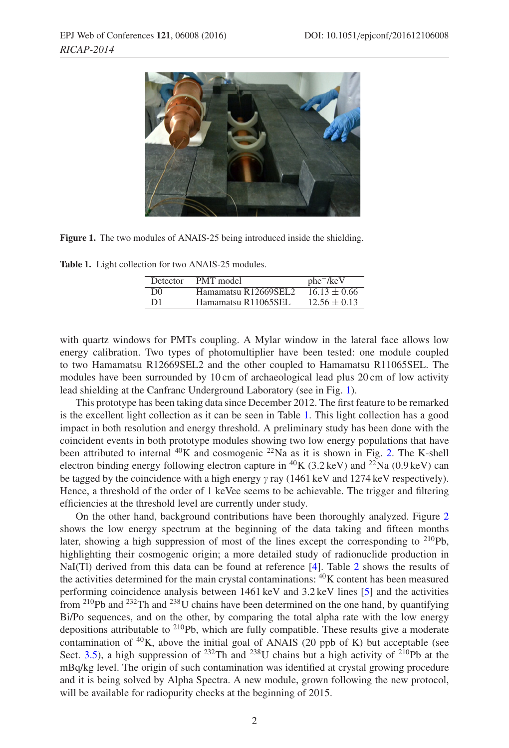<span id="page-1-0"></span>

**Figure 1.** The two modules of ANAIS-25 being introduced inside the shielding.

<span id="page-1-1"></span>**Table 1.** Light collection for two ANAIS-25 modules.

| Detector       | PMT model            | $phe^-$ /keV     |
|----------------|----------------------|------------------|
| D <sub>0</sub> | Hamamatsu R12669SEL2 | $16.13 \pm 0.66$ |
| D1             | Hamamatsu R11065SEL  | $12.56 \pm 0.13$ |

with quartz windows for PMTs coupling. A Mylar window in the lateral face allows low energy calibration. Two types of photomultiplier have been tested: one module coupled to two Hamamatsu R12669SEL2 and the other coupled to Hamamatsu R11065SEL. The modules have been surrounded by 10 cm of archaeological lead plus 20 cm of low activity lead shielding at the Canfranc Underground Laboratory (see in Fig. [1\)](#page-1-0).

This prototype has been taking data since December 2012. The first feature to be remarked is the excellent light collection as it can be seen in Table [1.](#page-1-1) This light collection has a good impact in both resolution and energy threshold. A preliminary study has been done with the coincident events in both prototype modules showing two low energy populations that have been attributed to internal  ${}^{40}$ K and cosmogenic  ${}^{22}$ Na as it is shown in Fig. [2.](#page-2-0) The K-shell electron binding energy following electron capture in <sup>40</sup>K (3.2 keV) and <sup>22</sup>Na (0.9 keV) can be tagged by the coincidence with a high energy  $\gamma$  ray (1461 keV and 1274 keV respectively). Hence, a threshold of the order of 1 keVee seems to be achievable. The trigger and filtering efficiencies at the threshold level are currently under study.

On the other hand, background contributions have been thoroughly analyzed. Figure [2](#page-2-0) shows the low energy spectrum at the beginning of the data taking and fifteen months later, showing a high suppression of most of the lines except the corresponding to  $^{210}Pb$ , highlighting their cosmogenic origin; a more detailed study of radionuclide production in NaI(Tl) derived from this data can be found at reference [\[4\]](#page-4-3). Table [2](#page-2-1) shows the results of the activities determined for the main crystal contaminations:  ${}^{40}$ K content has been measured performing coincidence analysis between 1461 keV and 3.2 keV lines [\[5](#page-4-4)] and the activities from <sup>210</sup>Pb and <sup>232</sup>Th and <sup>238</sup>U chains have been determined on the one hand, by quantifying Bi/Po sequences, and on the other, by comparing the total alpha rate with the low energy depositions attributable to  $2^{10}Pb$ , which are fully compatible. These results give a moderate contamination of  ${}^{40}$ K, above the initial goal of ANAIS (20 ppb of K) but acceptable (see Sect. [3.5\)](#page-3-0), a high suppression of <sup>232</sup>Th and <sup>238</sup>U chains but a high activity of <sup>210</sup>Pb at the mBq/kg level. The origin of such contamination was identified at crystal growing procedure and it is being solved by Alpha Spectra. A new module, grown following the new protocol, will be available for radiopurity checks at the beginning of 2015.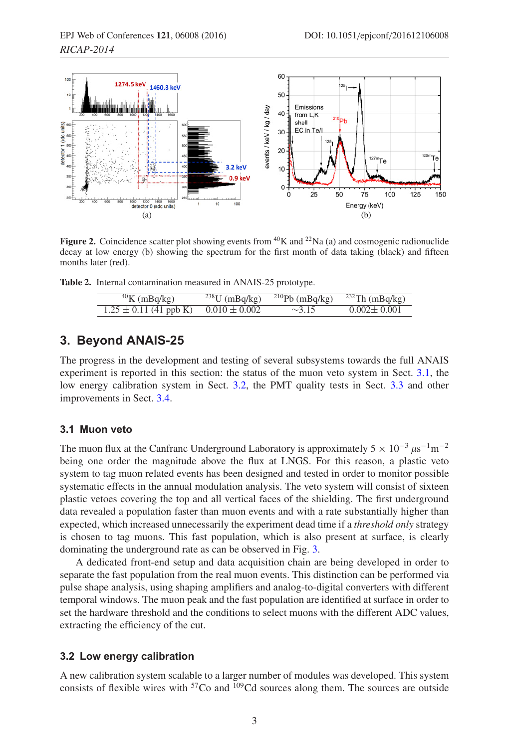<span id="page-2-0"></span>

**Figure 2.** Coincidence scatter plot showing events from  ${}^{40}K$  and  ${}^{22}Na$  (a) and cosmogenic radionuclide decay at low energy (b) showing the spectrum for the first month of data taking (black) and fifteen months later (red).

<span id="page-2-1"></span>**Table 2.** Internal contamination measured in ANAIS-25 prototype.

| $40$ K (mBq/kg)            | $238$ U (mBq/kg)  | $^{210}Pb$ (mBq/kg) | $232$ Th (mBq/kg) |
|----------------------------|-------------------|---------------------|-------------------|
| $1.25 \pm 0.11$ (41 ppb K) | $0.010 \pm 0.002$ | $\sim$ 3.15         | $0.002 \pm 0.001$ |

## **3. Beyond ANAIS-25**

The progress in the development and testing of several subsystems towards the full ANAIS experiment is reported in this section: the status of the muon veto system in Sect. [3.1,](#page-2-2) the low energy calibration system in Sect. [3.2,](#page-2-3) the PMT quality tests in Sect. [3.3](#page-3-1) and other improvements in Sect. [3.4.](#page-3-2)

#### <span id="page-2-2"></span>**3.1 Muon veto**

The muon flux at the Canfranc Underground Laboratory is approximately  $5 \times 10^{-3} \mu s^{-1} m^{-2}$ being one order the magnitude above the flux at LNGS. For this reason, a plastic veto system to tag muon related events has been designed and tested in order to monitor possible systematic effects in the annual modulation analysis. The veto system will consist of sixteen plastic vetoes covering the top and all vertical faces of the shielding. The first underground data revealed a population faster than muon events and with a rate substantially higher than expected, which increased unnecessarily the experiment dead time if a *threshold only* strategy is chosen to tag muons. This fast population, which is also present at surface, is clearly dominating the underground rate as can be observed in Fig. [3.](#page-3-3)

A dedicated front-end setup and data acquisition chain are being developed in order to separate the fast population from the real muon events. This distinction can be performed via pulse shape analysis, using shaping amplifiers and analog-to-digital converters with different temporal windows. The muon peak and the fast population are identified at surface in order to set the hardware threshold and the conditions to select muons with the different ADC values, extracting the efficiency of the cut.

#### <span id="page-2-3"></span>**3.2 Low energy calibration**

A new calibration system scalable to a larger number of modules was developed. This system consists of flexible wires with <sup>57</sup>Co and <sup>109</sup>Cd sources along them. The sources are outside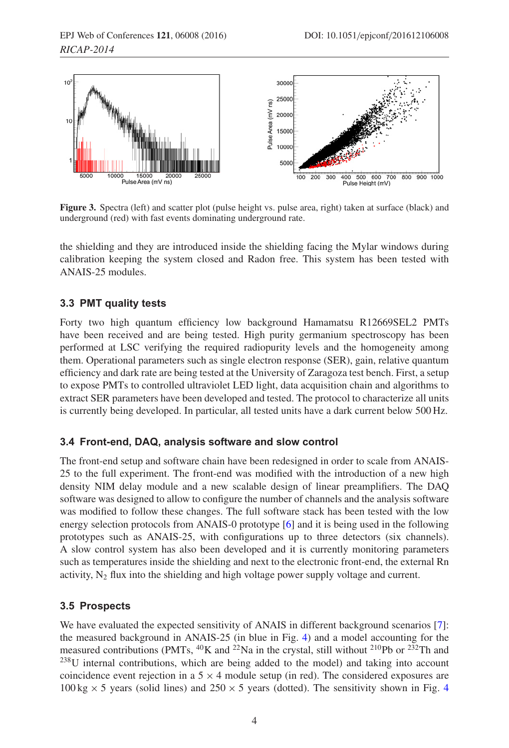<span id="page-3-3"></span>

**Figure 3.** Spectra (left) and scatter plot (pulse height vs. pulse area, right) taken at surface (black) and underground (red) with fast events dominating underground rate.

the shielding and they are introduced inside the shielding facing the Mylar windows during calibration keeping the system closed and Radon free. This system has been tested with ANAIS-25 modules.

### <span id="page-3-1"></span>**3.3 PMT quality tests**

Forty two high quantum efficiency low background Hamamatsu R12669SEL2 PMTs have been received and are being tested. High purity germanium spectroscopy has been performed at LSC verifying the required radiopurity levels and the homogeneity among them. Operational parameters such as single electron response (SER), gain, relative quantum efficiency and dark rate are being tested at the University of Zaragoza test bench. First, a setup to expose PMTs to controlled ultraviolet LED light, data acquisition chain and algorithms to extract SER parameters have been developed and tested. The protocol to characterize all units is currently being developed. In particular, all tested units have a dark current below 500 Hz.

#### <span id="page-3-2"></span>**3.4 Front-end, DAQ, analysis software and slow control**

The front-end setup and software chain have been redesigned in order to scale from ANAIS-25 to the full experiment. The front-end was modified with the introduction of a new high density NIM delay module and a new scalable design of linear preamplifiers. The DAQ software was designed to allow to configure the number of channels and the analysis software was modified to follow these changes. The full software stack has been tested with the low energy selection protocols from ANAIS-0 prototype [\[6\]](#page-4-5) and it is being used in the following prototypes such as ANAIS-25, with configurations up to three detectors (six channels). A slow control system has also been developed and it is currently monitoring parameters such as temperatures inside the shielding and next to the electronic front-end, the external Rn activity,  $N_2$  flux into the shielding and high voltage power supply voltage and current.

#### <span id="page-3-0"></span>**3.5 Prospects**

We have evaluated the expected sensitivity of ANAIS in different background scenarios [\[7](#page-4-6)]: the measured background in ANAIS-25 (in blue in Fig. [4\)](#page-4-7) and a model accounting for the measured contributions (PMTs,  $^{40}$ K and  $^{22}$ Na in the crystal, still without  $^{210}$ Pb or  $^{232}$ Th and <sup>238</sup>U internal contributions, which are being added to the model) and taking into account coincidence event rejection in a  $5 \times 4$  module setup (in red). The considered exposures are  $100 \text{ kg} \times 5$  years (solid lines) and  $250 \times 5$  years (dotted). The sensitivity shown in Fig. [4](#page-4-7)